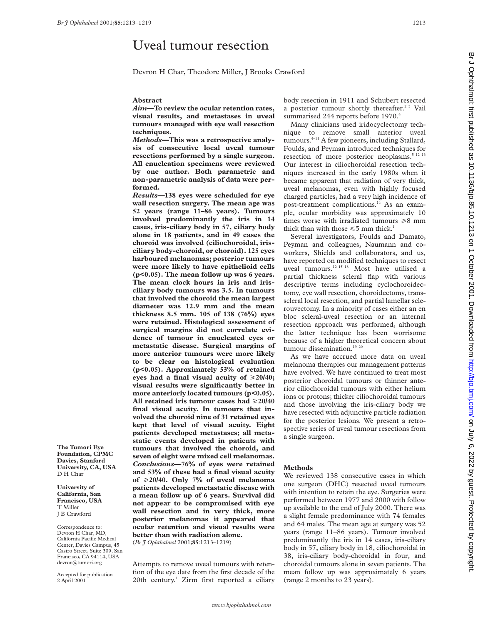# Uveal tumour resection

Devron H Char, Theodore Miller, J Brooks Crawford

## **Abstract**

*Aim***—To review the ocular retention rates, visual results, and metastases in uveal tumours managed with eye wall resection techniques.**

*Methods—***This was a retrospective analysis of consecutive local uveal tumour resections performed by a single surgeon. All enucleation specimens were reviewed by one author. Both parametric and non-parametric analysis of data were performed.**

*Results***—138 eyes were scheduled for eye wall resection surgery. The mean age was 52 years (range 11–86 years). Tumours involved predominantly the iris in 14 cases, iris-ciliary body in 57, ciliary body alone in 18 patients, and in 49 cases the choroid was involved (ciliochoroidal, irisciliary body-choroid, or choroid). 125 eyes harboured melanomas; posterior tumours were more likely to have epithelioid cells (p<0.05). The mean follow up was 6 years. The mean clock hours in iris and irisciliary body tumours was 3.5. In tumours that involved the choroid the mean largest diameter was 12.9 mm and the mean thickness 8.5 mm. 105 of 138 (76%) eyes were retained. Histological assessment of surgical margins did not correlate evidence of tumour in enucleated eyes or metastatic disease. Surgical margins of more anterior tumours were more likely to be clear on histological evaluation (p<0.05). Approximately 53% of retained** eyes had a final visual acuity of  $\geq 20/40$ ; **visual results were significantly better in more anteriorly located tumours (p<0.05).** All retained iris tumour cases had  $\geq 20/40$ **final visual acuity. In tumours that involved the choroid nine of 31 retained eyes kept that level of visual acuity. Eight patients developed metastases; all metastatic events developed in patients with tumours that involved the choroid, and seven of eight were mixed cell melanomas.** *Conclusions***—76% of eyes were retained and 53% of these had a final visual acuity of** >**20/40. Only 7% of uveal melanoma patients developed metastatic disease with a mean follow up of 6 years. Survival did not appear to be compromised with eye wall resection and in very thick, more posterior melanomas it appeared that ocular retention and visual results were better than with radiation alone.** (*Br J Ophthalmol* 2001;**85**:1213–1219)

Attempts to remove uveal tumours with retention of the eye date from the first decade of the 20th century.<sup>1</sup> Zirm first reported a ciliary body resection in 1911 and Schubert resected a posterior tumour shortly thereafter.<sup>23</sup> Vail summarised 244 reports before 1970.4

Many clinicians used iridocyclectomy technique to remove small anterior uveal tumours.<sup>4-11</sup> A few pioneers, including Stallard, Foulds, and Peyman introduced techniques for resection of more posterior neoplasms.<sup>5 12 13</sup> Our interest in ciliochoroidal resection techniques increased in the early 1980s when it became apparent that radiation of very thick, uveal melanomas, even with highly focused charged particles, had a very high incidence of post-treatment complications.<sup>14</sup> As an example, ocular morbidity was approximately 10 times worse with irradiated tumours  $\geq 8$  mm thick than with those  $\leq 5$  mm thick.<sup>1</sup>

Several investigators, Foulds and Damato, Peyman and colleagues, Naumann and coworkers, Shields and collaborators, and us, have reported on modified techniques to resect uveal tumours.12 15–18 Most have utilised a partial thickness scleral flap with various descriptive terms including cyclochoroidectomy, eye wall resection, choroidectomy, transscleral local resection, and partial lamellar sclerouvectomy. In a minority of cases either an en bloc scleral-uveal resection or an internal resection approach was performed, although the latter technique has been worrisome because of a higher theoretical concern about tumour dissemination.<sup>19 20</sup>

As we have accrued more data on uveal melanoma therapies our management patterns have evolved. We have continued to treat most posterior choroidal tumours or thinner anterior ciliochoroidal tumours with either helium ions or protons; thicker ciliochoroidal tumours and those involving the iris-ciliary body we have resected with adjunctive particle radiation for the posterior lesions. We present a retrospective series of uveal tumour resections from a single surgeon.

### **Methods**

We reviewed 138 consecutive cases in which one surgeon (DHC) resected uveal tumours with intention to retain the eye. Surgeries were performed between 1977 and 2000 with follow up available to the end of July 2000. There was a slight female predominance with 74 females and 64 males. The mean age at surgery was 52 years (range 11–86 years). Tumour involved predominantly the iris in 14 cases, iris-ciliary body in 57, ciliary body in 18, ciliochoroidal in 38, iris-ciliary body-choroidal in four, and choroidal tumours alone in seven patients. The mean follow up was approximately 6 years (range 2 months to 23 years).

**Foundation, CPMC Davies, Stanford University, CA, USA** D H Char

**The Tumori Eye**

**University of California, San Francisco, USA** T Miller J B Crawford

Correspondence to: Devron H Char, MD, California Pacific Medical Center, Davies Campus, 45 Castro Street, Suite 309, San Francisco, CA 94114, USA devron@tumori.org

Accepted for publication 2 April 2001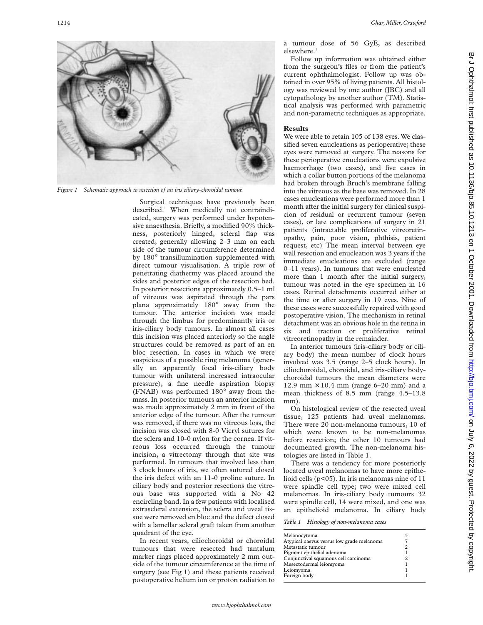

*Figure 1 Schematic approach to resection of an iris ciliary-choroidal tumour.*

Surgical techniques have previously been described.<sup>1</sup> When medically not contraindicated, surgery was performed under hypotensive anaesthesia. Briefly, a modified 90% thickness, posteriorly hinged, scleral flap was created, generally allowing 2–3 mm on each side of the tumour circumference determined by 180° transillumination supplemented with direct tumour visualisation. A triple row of penetrating diathermy was placed around the sides and posterior edges of the resection bed. In posterior resections approximately 0.5–1 ml of vitreous was aspirated through the pars plana approximately 180° away from the tumour. The anterior incision was made through the limbus for predominantly iris or iris-ciliary body tumours. In almost all cases this incision was placed anteriorly so the angle structures could be removed as part of an en bloc resection. In cases in which we were suspicious of a possible ring melanoma (generally an apparently focal iris-ciliary body tumour with unilateral increased intraocular pressure), a fine needle aspiration biopsy (FNAB) was performed 180° away from the mass. In posterior tumours an anterior incision was made approximately 2 mm in front of the anterior edge of the tumour. After the tumour was removed, if there was no vitreous loss, the incision was closed with 8-0 Vicryl sutures for the sclera and 10-0 nylon for the cornea. If vitreous loss occurred through the tumour incision, a vitrectomy through that site was performed. In tumours that involved less than 3 clock hours of iris, we often sutured closed the iris defect with an 11-0 proline suture. In ciliary body and posterior resections the vitreous base was supported with a No 42 encircling band. In a few patients with localised extrascleral extension, the sclera and uveal tissue were removed en bloc and the defect closed with a lamellar scleral graft taken from another quadrant of the eye.

In recent years, ciliochoroidal or choroidal tumours that were resected had tantalum marker rings placed approximately 2 mm outside of the tumour circumference at the time of surgery (see Fig 1) and these patients received postoperative helium ion or proton radiation to

a tumour dose of 56 GyE, as described elsewhere

Follow up information was obtained either from the surgeon's files or from the patient's current ophthalmologist. Follow up was obtained in over 95% of living patients. All histology was reviewed by one author (JBC) and all cytopathology by another author (TM). Statistical analysis was performed with parametric and non-parametric techniques as appropriate.

## **Results**

We were able to retain 105 of 138 eyes. We classified seven enucleations as perioperative; these eyes were removed at surgery. The reasons for these perioperative enucleations were expulsive haemorrhage (two cases), and five cases in which a collar button portions of the melanoma had broken through Bruch's membrane falling into the vitreous as the base was removed. In 28 cases enucleations were performed more than 1 month after the initial surgery for clinical suspicion of residual or recurrent tumour (seven cases), or late complications of surgery in 21 patients (intractable proliferative vitreoretinopathy, pain, poor vision, phthisis, patient request, etc) The mean interval between eye wall resection and enucleation was 3 years if the immediate enucleations are excluded (range 0–11 years). In tumours that were enucleated more than 1 month after the initial surgery, tumour was noted in the eye specimen in 16 cases. Retinal detachments occurred either at the time or after surgery in 19 eyes. Nine of these cases were successfully repaired with good postoperative vision. The mechanism in retinal detachment was an obvious hole in the retina in six and traction or proliferative retinal vitreoretinopathy in the remainder.

In anterior tumours (iris-ciliary body or ciliary body) the mean number of clock hours involved was 3.5 (range 2–5 clock hours). In ciliochoroidal, choroidal, and iris-ciliary bodychoroidal tumours the mean diameters were 12.9 mm  $\times$  10.4 mm (range 6–20 mm) and a mean thickness of 8.5 mm (range 4.5–13.8 mm).

On histological review of the resected uveal tissue, 125 patients had uveal melanomas. There were 20 non-melanoma tumours, 10 of which were known to be non-melanomas before resection; the other 10 tumours had documented growth. The non-melanoma histologies are listed in Table 1.

There was a tendency for more posteriorly located uveal melanomas to have more epithelioid cells (p<05). In iris melanomas nine of 11 were spindle cell type; two were mixed cell melanomas. In iris-ciliary body tumours 32 were spindle cell, 14 were mixed, and one was an epithelioid melanoma. In ciliary body

*Table 1 Histology of non-melanoma cases*

| Melanocytoma                              |  |
|-------------------------------------------|--|
| Atypical naevus versus low grade melanoma |  |
| Metastatic tumour                         |  |
| Pigment epithelial adenoma                |  |
| Conjunctival squamous cell carcinoma      |  |
| Mesectodermal leiomyoma                   |  |
| Leiomyoma                                 |  |
| Foreign body                              |  |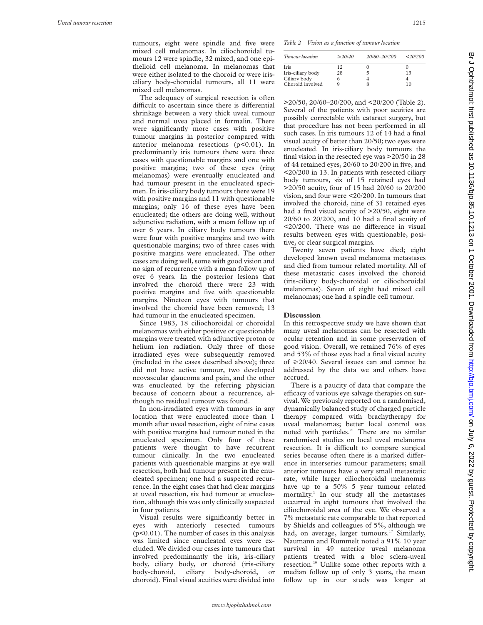tumours, eight were spindle and five were mixed cell melanomas. In ciliochoroidal tumours 12 were spindle, 32 mixed, and one epithelioid cell melanoma. In melanomas that were either isolated to the choroid or were irisciliary body-choroidal tumours, all 11 were mixed cell melanomas.

The adequacy of surgical resection is often difficult to ascertain since there is differential shrinkage between a very thick uveal tumour and normal uvea placed in formalin. There were significantly more cases with positive tumour margins in posterior compared with anterior melanoma resections  $(p<0.01)$ . In predominantly iris tumours there were three cases with questionable margins and one with positive margins; two of these eyes (ring melanomas) were eventually enucleated and had tumour present in the enucleated specimen. In iris-ciliary body tumours there were 19 with positive margins and 11 with questionable margins; only 16 of these eyes have been enucleated; the others are doing well, without adjunctive radiation, with a mean follow up of over 6 years. In ciliary body tumours there were four with positive margins and two with questionable margins; two of three cases with positive margins were enucleated. The other cases are doing well, some with good vision and no sign of recurrence with a mean follow up of over 6 years. In the posterior lesions that involved the choroid there were 23 with positive margins and five with questionable margins. Nineteen eyes with tumours that involved the choroid have been removed; 13 had tumour in the enucleated specimen.

Since 1983, 18 ciliochoroidal or choroidal melanomas with either positive or questionable margins were treated with adjunctive proton or helium ion radiation. Only three of those irradiated eyes were subsequently removed (included in the cases described above); three did not have active tumour, two developed neovascular glaucoma and pain, and the other was enucleated by the referring physician because of concern about a recurrence, although no residual tumour was found.

In non-irradiated eyes with tumours in any location that were enucleated more than 1 month after uveal resection, eight of nine cases with positive margins had tumour noted in the enucleated specimen. Only four of these patients were thought to have recurrent tumour clinically. In the two enucleated patients with questionable margins at eye wall resection, both had tumour present in the enucleated specimen; one had a suspected recurrence. In the eight cases that had clear margins at uveal resection, six had tumour at enucleation, although this was only clinically suspected in four patients.

Visual results were significantly better in eyes with anteriorly resected tumours (p<0.01). The number of cases in this analysis was limited since enucleated eyes were excluded. We divided our cases into tumours that involved predominantly the iris, iris-ciliary body, ciliary body, or choroid (iris-ciliary body-choroid, ciliary body-choroid, or choroid). Final visual acuities were divided into

*Table 2 Vision as a function of tumour location*

| Tumour location   | $\geq 20/40$ | 20/60-20/200 | 20/200 |
|-------------------|--------------|--------------|--------|
| <b>Iris</b>       | 12           |              |        |
| Iris-ciliary body | 28           |              | 13     |
| Ciliary body      |              |              |        |
| Choroid involved  |              |              | 10     |
|                   |              |              |        |

>20/50, 20/60–20/200, and <20/200 (Table 2). Several of the patients with poor acuities are possibly correctable with cataract surgery, but that procedure has not been performed in all such cases. In iris tumours 12 of 14 had a final visual acuity of better than 20/50; two eyes were enucleated. In iris-ciliary body tumours the final vision in the resected eye was >20/50 in 28 of 44 retained eyes, 20/60 to 20/200 in five, and <20/200 in 13. In patients with resected ciliary body tumours, six of 15 retained eyes had >20/50 acuity, four of 15 had 20/60 to 20/200 vision, and four were <20/200. In tumours that involved the choroid, nine of 31 retained eyes had a final visual acuity of >20/50, eight were 20/60 to 20/200, and 10 had a final acuity of  $\langle 20/200$ . There was no difference in visual results between eyes with questionable, positive, or clear surgical margins.

Twenty seven patients have died; eight developed known uveal melanoma metastases and died from tumour related mortality. All of these metastatic cases involved the choroid (iris-ciliary body-choroidal or ciliochoroidal melanomas). Seven of eight had mixed cell melanomas; one had a spindle cell tumour.

### **Discussion**

In this retrospective study we have shown that many uveal melanomas can be resected with ocular retention and in some preservation of good vision. Overall, we retained 76% of eyes and 53% of those eyes had a final visual acuity of  $\geq$  20/40. Several issues can and cannot be addressed by the data we and others have accrued.

There is a paucity of data that compare the efficacy of various eye salvage therapies on survival. We previously reported on a randomised, dynamically balanced study of charged particle therapy compared with brachytherapy for uveal melanomas; better local control was noted with particles.<sup>21</sup> There are no similar randomised studies on local uveal melanoma resection. It is difficult to compare surgical series because often there is a marked difference in interseries tumour parameters; small anterior tumours have a very small metastatic rate, while larger ciliochoroidal melanomas have up to a 50% 5 year tumour related mortality.<sup>1</sup> In our study all the metastases occurred in eight tumours that involved the ciliochoroidal area of the eye. We observed a 7% metastatic rate comparable to that reported by Shields and colleagues of 5%, although we had, on average, larger tumours.<sup>17</sup> Similarly, Naumann and Rummelt noted a 91% 10 year survival in 49 anterior uveal melanoma patients treated with a bloc sclera-uveal resection.19 Unlike some other reports with a median follow up of only 3 years, the mean follow up in our study was longer at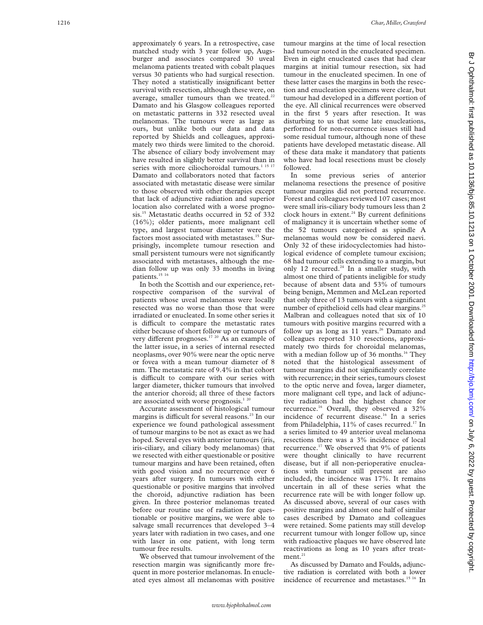approximately 6 years. In a retrospective, case matched study with 3 year follow up, Augsburger and associates compared 30 uveal melanoma patients treated with cobalt plaques versus 30 patients who had surgical resection. They noted a statistically insignificant better survival with resection, although these were, on average, smaller tumours than we treated. $22$ Damato and his Glasgow colleagues reported on metastatic patterns in 332 resected uveal melanomas. The tumours were as large as ours, but unlike both our data and data reported by Shields and colleagues, approximately two thirds were limited to the choroid. The absence of ciliary body involvement may have resulted in slightly better survival than in series with more ciliochoroidal tumours.<sup>1 15</sup> Damato and collaborators noted that factors associated with metastatic disease were similar to those observed with other therapies except that lack of adjunctive radiation and superior location also correlated with a worse prognosis.<sup>15</sup> Metastatic deaths occurred in 52 of 332 (16%); older patients, more malignant cell type, and largest tumour diameter were the factors most associated with metastases.<sup>15</sup> Surprisingly, incomplete tumour resection and small persistent tumours were not significantly associated with metastases, although the median follow up was only 33 months in living patients.<sup>15</sup><sup>16</sup>

In both the Scottish and our experience, retrospective comparison of the survival of patients whose uveal melanomas were locally resected was no worse than those that were irradiated or enucleated. In some other series it is difficult to compare the metastatic rates either because of short follow up or tumours of very different prognoses.<sup>17 20</sup> As an example of the latter issue, in a series of internal resected neoplasms, over 90% were near the optic nerve or fovea with a mean tumour diameter of 8 mm. The metastatic rate of 9.4% in that cohort is difficult to compare with our series with larger diameter, thicker tumours that involved the anterior choroid; all three of these factors are associated with worse prognosis.<sup>1 20</sup>

Accurate assessment of histological tumour margins is difficult for several reasons.<sup>23</sup> In our experience we found pathological assessment of tumour margins to be not as exact as we had hoped. Several eyes with anterior tumours (iris, iris-ciliary, and ciliary body melanomas) that we resected with either questionable or positive tumour margins and have been retained, often with good vision and no recurrence over 6 years after surgery. In tumours with either questionable or positive margins that involved the choroid, adjunctive radiation has been given. In three posterior melanomas treated before our routine use of radiation for questionable or positive margins, we were able to salvage small recurrences that developed 3–4 years later with radiation in two cases, and one with laser in one patient, with long term tumour free results.

We observed that tumour involvement of the resection margin was significantly more frequent in more posterior melanomas. In enucleated eyes almost all melanomas with positive tumour margins at the time of local resection had tumour noted in the enucleated specimen. Even in eight enucleated cases that had clear margins at initial tumour resection, six had tumour in the enucleated specimen. In one of these latter cases the margins in both the resection and enucleation specimens were clear, but tumour had developed in a different portion of the eye. All clinical recurrences were observed in the first 5 years after resection. It was disturbing to us that some late enucleations, performed for non-recurrence issues still had some residual tumour, although none of these patients have developed metastatic disease. All of these data make it mandatory that patients who have had local resections must be closely followed.

In some previous series of anterior melanoma resections the presence of positive tumour margins did not portend recurrence. Forest and colleagues reviewed 107 cases; most were small iris-ciliary body tumours less than 2 clock hours in extent.<sup>24</sup> By current definitions of malignancy it is uncertain whether some of the 52 tumours categorised as spindle A melanomas would now be considered naevi. Only 32 of these iridocyclectomies had histological evidence of complete tumour excision; 68 had tumour cells extending to a margin, but only 12 recurred.<sup>24</sup> In a smaller study, with almost one third of patients ineligible for study because of absent data and 53% of tumours being benign, Memmen and McLean reported that only three of 13 tumours with a significant number of epithelioid cells had clear margins.<sup>25</sup> Malbran and colleagues noted that six of 10 tumours with positive margins recurred with a follow up as long as  $11$  years.<sup>26</sup> Damato and colleagues reported 310 resections, approximately two thirds for choroidal melanomas, with a median follow up of 36 months.<sup>16</sup> They noted that the histological assessment of tumour margins did not significantly correlate with recurrence; in their series, tumours closest to the optic nerve and fovea, larger diameter, more malignant cell type, and lack of adjunctive radiation had the highest chance for recurrence.<sup>16</sup> Overall, they observed a 32% incidence of recurrent disease.<sup>16</sup> In a series from Philadelphia, 11% of cases recurred.<sup>17</sup> In a series limited to 49 anterior uveal melanoma resections there was a 3% incidence of local recurrence.17 We observed that 9% of patients were thought clinically to have recurrent disease, but if all non-perioperative enucleations with tumour still present are also included, the incidence was 17%. It remains uncertain in all of these series what the recurrence rate will be with longer follow up. As discussed above, several of our cases with positive margins and almost one half of similar cases described by Damato and colleagues were retained. Some patients may still develop recurrent tumour with longer follow up, since with radioactive plaques we have observed late reactivations as long as 10 years after treatment $21$ 

As discussed by Damato and Foulds, adjunctive radiation is correlated with both a lower incidence of recurrence and metastases.<sup>15 16</sup> In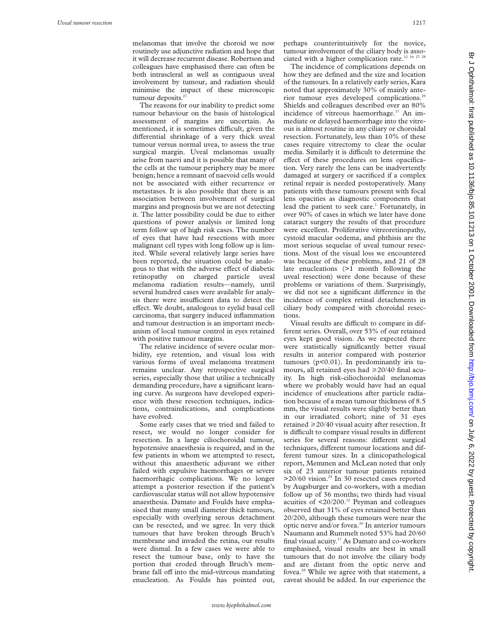melanomas that involve the choroid we now routinely use adjunctive radiation and hope that it will decrease recurrent disease. Robertson and colleagues have emphasised there can often be both intrascleral as well as contiguous uveal involvement by tumour, and radiation should minimise the impact of these microscopic tumour deposits. $27$ 

The reasons for our inability to predict some tumour behaviour on the basis of histological assessment of margins are uncertain. As mentioned, it is sometimes difficult, given the differential shrinkage of a very thick uveal tumour versus normal uvea, to assess the true surgical margin. Uveal melanomas usually arise from naevi and it is possible that many of the cells at the tumour periphery may be more benign; hence a remnant of naevoid cells would not be associated with either recurrence or metastases. It is also possible that there is an association between involvement of surgical margins and prognosis but we are not detecting it. The latter possibility could be due to either questions of power analysis or limited long term follow up of high risk cases. The number of eyes that have had resections with more malignant cell types with long follow up is limited. While several relatively large series have been reported, the situation could be analogous to that with the adverse effect of diabetic retinopathy on charged particle uveal melanoma radiation results—namely, until several hundred cases were available for analysis there were insufficient data to detect the effect. We doubt, analogous to eyelid basal cell carcinoma, that surgery induced inflammation and tumour destruction is an important mechanism of local tumour control in eyes retained with positive tumour margins.

The relative incidence of severe ocular morbidity, eye retention, and visual loss with various forms of uveal melanoma treatment remains unclear. Any retrospective surgical series, especially those that utilise a technically demanding procedure, have a significant learning curve. As surgeons have developed experience with these resection techniques, indications, contraindications, and complications have evolved.

Some early cases that we tried and failed to resect, we would no longer consider for resection. In a large ciliochoroidal tumour, hypotensive anaesthesia is required, and in the few patients in whom we attempted to resect, without this anaesthetic adjuvant we either failed with expulsive haemorrhages or severe haemorrhagic complications. We no longer attempt a posterior resection if the patient's cardiovascular status will not allow hypotensive anaesthesia. Damato and Foulds have emphasised that many small diameter thick tumours, especially with overlying serous detachment can be resected, and we agree. In very thick tumours that have broken through Bruch's membrane and invaded the retina, our results were dismal. In a few cases we were able to resect the tumour base, only to have the portion that eroded through Bruch's membrane fall off into the mid-vitreous mandating enucleation. As Foulds has pointed out,

perhaps counterintuitively for the novice, tumour involvement of the ciliary body is associated with a higher complication rate.<sup>12 16 27 28</sup>

The incidence of complications depends on how they are defined and the size and location of the tumours. In a relatively early series, Kara noted that approximately 30% of mainly anterior tumour eyes developed complications.29 Shields and colleagues described over an 80% incidence of vitreous haemorrhage.<sup>17</sup> An immediate or delayed haemorrhage into the vitreous is almost routine in any ciliary or choroidal resection. Fortunately, less than 10% of these cases require vitrectomy to clear the ocular media. Similarly it is difficult to determine the effect of these procedures on lens opacification. Very rarely the lens can be inadvertently damaged at surgery or sacrificed if a complex retinal repair is needed postoperatively. Many patients with these tumours present with focal lens opacities as diagnostic components that lead the patient to seek care.<sup>1</sup> Fortunately, in over 90% of cases in which we later have done cataract surgery the results of that procedure were excellent. Proliferative vitreoretinopathy, cystoid macular oedema, and phthisis are the most serious sequelae of uveal tumour resections. Most of the visual loss we encountered was because of these problems, and 21 of 28 late enucleations (>1 month following the uveal resection) were done because of these problems or variations of them. Surprisingly, we did not see a significant difference in the incidence of complex retinal detachments in ciliary body compared with choroidal resections.

Visual results are difficult to compare in different series. Overall, over 53% of our retained eyes kept good vision. As we expected there were statistically significantly better visual results in anterior compared with posterior tumours (p<0.01). In predominantly iris tumours, all retained eyes had  $\geq 20/40$  final acuity. In high risk-ciliochoroidal melanomas where we probably would have had an equal incidence of enucleations after particle radiation because of a mean tumour thickness of 8.5 mm, the visual results were slightly better than in our irradiated cohort; nine of 31 eyes retained  $\geq$  20/40 visual acuity after resection. It is difficult to compare visual results in different series for several reasons: different surgical techniques, different tumour locations and different tumour sizes. In a clinicopathological report, Memmen and McLean noted that only six of 23 anterior tumour patients retained  $>20/60$  vision.<sup>25</sup> In 30 resected cases reported by Augsburger and co-workers, with a median follow up of 36 months; two thirds had visual acuities of  $\leq 20/200$ .<sup>22</sup> Peyman and colleagues observed that 31% of eyes retained better than 20/200, although these tumours were near the optic nerve and/or fovea.<sup>20</sup> In anterior tumours Naumann and Rummelt noted 53% had 20/60 final visual acuity.<sup>17</sup> As Damato and co-workers emphasised, visual results are best in small tumours that do not involve the ciliary body and are distant from the optic nerve and fovea.<sup>28</sup> While we agree with that statement, a caveat should be added. In our experience the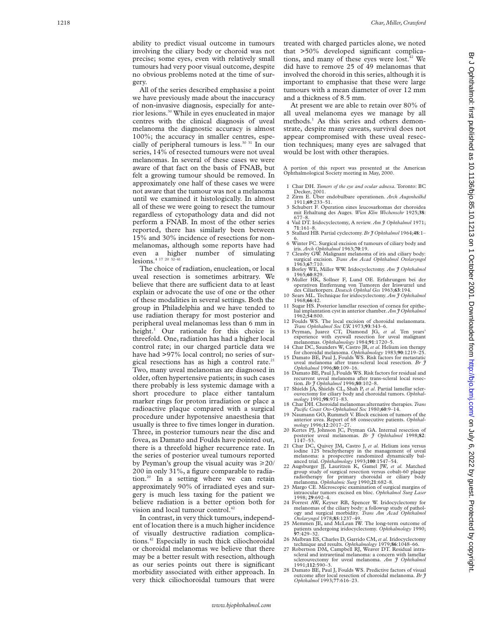ability to predict visual outcome in tumours involving the ciliary body or choroid was not precise; some eyes, even with relatively small tumours had very poor visual outcome, despite no obvious problems noted at the time of surgery.

All of the series described emphasise a point we have previously made about the inaccuracy of non-invasive diagnosis, especially for anterior lesions.30 While in eyes enucleated in major centres with the clinical diagnosis of uveal melanoma the diagnostic accuracy is almost 100%; the accuracy in smaller centres, especially of peripheral tumours is less.<sup>30 31</sup> In our series, 14% of resected tumours were not uveal melanomas. In several of these cases we were aware of that fact on the basis of FNAB, but felt a growing tumour should be removed. In approximately one half of these cases we were not aware that the tumour was not a melanoma until we examined it histologically. In almost all of these we were going to resect the tumour regardless of cytopathology data and did not perform a FNAB. In most of the other series reported, there has similarly been between 15% and 30% incidence of resections for nonmelanomas, although some reports have had even a higher number of simulating lesions.<sup>4 17 20 32-41</sup>

The choice of radiation, enucleation, or local uveal resection is sometimes arbitrary. We believe that there are sufficient data to at least explain or advocate the use of one or the other of these modalities in several settings. Both the group in Philadelphia and we have tended to use radiation therapy for most posterior and peripheral uveal melanomas less than 6 mm in height. <sup>1</sup> Our rationale for this choice is threefold. One, radiation has had a higher local control rate; in our charged particle data we have had >97% local control; no series of surgical resections has as high a control rate.<sup>21</sup> Two, many uveal melanomas are diagnosed in older, often hypertensive patients; in such cases there probably is less systemic damage with a short procedure to place either tantalum marker rings for proton irradiation or place a radioactive plaque compared with a surgical procedure under hypotensive anaesthesia that usually is three to five times longer in duration. Three, in posterior tumours near the disc and fovea, as Damato and Foulds have pointed out, there is a threefold higher recurrence rate. In the series of posterior uveal tumours reported by Peyman's group the visual acuity was >20/ 200 in only 31%, a figure comparable to radiation.20 In a setting where we can retain approximately 90% of irradiated eyes and surgery is much less taxing for the patient we believe radiation is a better option both for vision and local tumour control.<sup>42</sup>

In contrast, in very thick tumours, independent of location there is a much higher incidence of visually destructive radiation complications.42 Especially in such thick ciliochoroidal or choroidal melanomas we believe that there may be a better result with resection, although as our series points out there is significant morbidity associated with either approach. In very thick ciliochoroidal tumours that were treated with charged particles alone, we noted that >50% developed significant complications, and many of these eyes were lost.<sup>42</sup> We did have to remove 25 of 49 melanomas that involved the choroid in this series, although it is important to emphasise that these were large tumours with a mean diameter of over 12 mm and a thickness of 8.5 mm.

At present we are able to retain over 80% of all uveal melanoma eyes we manage by all methods. <sup>1</sup> As this series and others demonstrate, despite many caveats, survival does not appear compromised with these uveal resection techniques; many eyes are salvaged that would be lost with other therapies.

A portion of this report was presented at the American Ophthalmological Society meeting in May, 2000.

- 1 Char DH. *Tumors of the eye and ocular adnexa.* Toronto: BC
- Decker, 2001. 2 Zirm E. Über endobulbare operationen*. Arch Augenheilkd* 1911;**69**:233–51.
- 3 Schubert F. Operation eines leucosarkomas der choroidea mit Erhaltung des Auges. *Wien Klin Wochenschr* 1925;**38** : 677–8.
- 4 Vail DT. Iridocyclectomy, A review. *Am J Ophthalmol* 1971; **71**:161–8.
- 5 Stallard HB. Partial cyclectomy. *Br J Ophthalmol* 1964;**48**:1– 6. 6 Winter FC. Surgical excision of tumours of ciliary body and
- iris. *Arch Ophthalmol* 1963;**70**:19.
- 7 Cleasby GW. Malignant melanoma of iris and ciliary body: surgical excision. *Trans Am Acad Ophthalmol Otolaryngol*
- 1963;**67**:710. 8 Borley WE, Miller WW. Iridocyclectomy. *Am J Ophthalmol* 1965;**60**:829.
- 9 Muller HK, Sollner F, Lund OE. Erfahrungen bei der operativen Entfernung von Tumoren der Iriswurzel und<br>des Ciliarkorpers. Deutsch Ophthal Ges 1963;63:194.
- 10 Sears ML. Technique for iridocyclectomy. *Am J Ophthalmol* 1968;**66**:42.
- 1968;**66**:42. 11 Sugar HS. Posterior lamellar resection of cornea for epithe-lial implantation cyst in anterior chamber. *Am J Ophthalmol* 1962;**54**:800.
- 12 Foulds WS. The local excision of choroidal melanomata.
- *Trans Ophthalmol Soc UK* 1973;**93**:343–6. 13 Peyman, Juarez CT, Diamond JG, *et al.* Ten years' experience with eyewall resection for uveal malignant melanomas. *Ophthalmology* 1984;**91**:1720–5.
- 14 Char DC, Saunders W, Castro JR, *et al*. Helium ion therapy for choroidal melanoma. *Ophthalmology* 1983;**90**:1219–25.
- 15 Damato BE, Paul J, Foulds WS. Risk factors for metastatic uveal melanoma after trans-scleral local resection. *Br J*
- *Ophthalmol* 1996;**80**:109–16. 16 Damato BE, Paul J, Foulds WS. Risk factors for residual and recurrent uveal melanoma after trans-scleral local resection. Br  $\tilde{f}$  Ophthalmol 1996;80:102-8.
- 17 Shields JA, Shields CL, Shah P, et al. Partial lamellar sclerouvectomy for ciliary body and choroidal tumors. *Ophthal-mology* 1991;**98**:971–83.
- 18 Char DH. Choroidal melanomas:alternative therapies*.Trans*
- *Pacific Coast Oto-Ophthalmol Soc* 1980;**60**:9–14. 19 Naumann GO, Rummelt V. Block excision of tumors of the anterior uvea. Report of 68 consecutive patients. *Ophthalmology* 1996;**12**:2017–27.
- 20 Kertes PJ, Johnson JC, Peyman GA. Internal resection of posterior uveal melanomas. *Br J Ophthalmol* 1998;**82** : 1147–53.
- 21 Char DC, Quivey JM, Castro J, *et al.* Helium ions versus iodine 125 brachytherapy in the management of uveal melanoma: a prospective randomized dynamically bal-anced trial. *Ophthalmology* 1993;**100**:1547–54.
- 22 Augsburger JJ, Lauritzen K, Gamel JW, *et al.* Matched group study of surgical resection versus cobalt-60 plaque radiotherapy for primary choroidal or ciliary body melanoma. *Ophthalmic Surg* 1990;**21**:682–8.
- 23 Margo CE. Microscopic examination of surgical margins of intraocular tumors excised en bloc. *Ophthalmol Surg Laser* 1998; **<sup>29</sup>**:692–4. 24 Forrest AW, Keyser RB, Spencer W. Iridocyclectomy for
- melanomas of the ciliary body: a followup study of pathology and surgical morbidity. *Trans Am Acad Ophthalmol*
- *Otolaryngol* 1978;**85**:1237–49. 25 Memmen JE, and McLean IW. The long-term outcome of patients undergoing iridocyclectomy. *Ophthalmology* 1990; **97**:429–32.
- 26 Malbran ES, Charles D, Garrido CM,*et al.* Iridocyclectomy technique and results. *Ophthalmology* 1979;**86**:1048–66. 27 Robertson DM, Campbell RJ, Weaver DT. Residual intra-
- scleral and intraretinal melanoma: a concern with lamellar sclerouvectomy for uveal melanoma. *Am J Ophthalmol* 1991;**112**:590–3.
- 28 Damato BE, Paul J, Foulds WS. Predictive factors of visual outcome after local resection of choroidal melanoma. *Br J Ophthalmol* 1993;**77**:616–23.